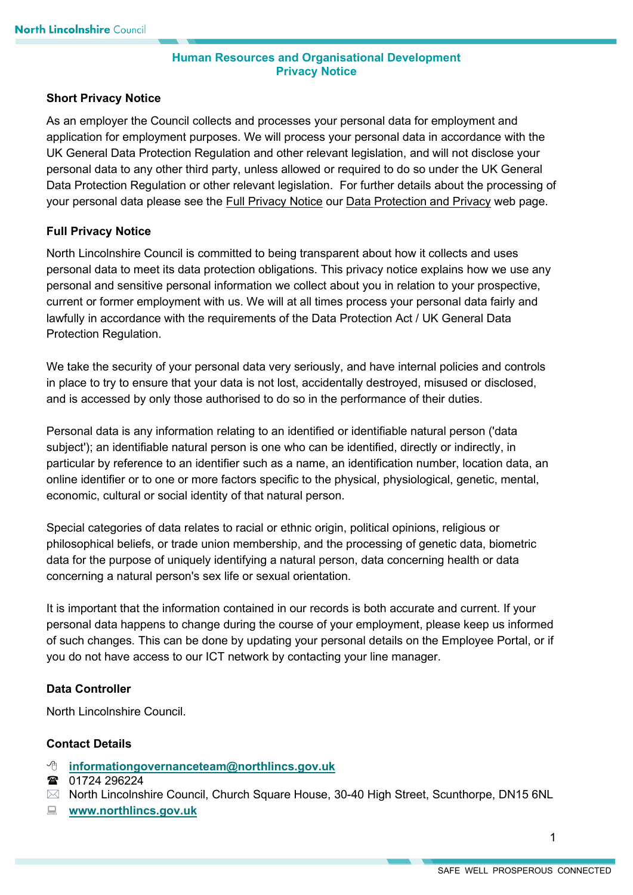## **Human Resources and Organisational Development Privacy Notice**

### **Short Privacy Notice**

 personal data to any other third party, unless allowed or required to do so under the UK General your personal data please see the <u>Full Privacy Notice</u> our <u>Data Protection and Privacy</u> web page. As an employer the Council collects and processes your personal data for employment and application for employment purposes. We will process your personal data in accordance with the UK General Data Protection Regulation and other relevant legislation, and will not disclose your Data Protection Regulation or other relevant legislation. For further details about the processing of

# **Full Privacy Notice**

 current or former employment with us. We will at all times process your personal data fairly and lawfully in accordance with the requirements of the Data Protection Act / UK General Data North Lincolnshire Council is committed to being transparent about how it collects and uses personal data to meet its data protection obligations. This privacy notice explains how we use any personal and sensitive personal information we collect about you in relation to your prospective, Protection Regulation.

We take the security of your personal data very seriously, and have internal policies and controls in place to try to ensure that your data is not lost, accidentally destroyed, misused or disclosed, and is accessed by only those authorised to do so in the performance of their duties.

 particular by reference to an identifier such as a name, an identification number, location data, an online identifier or to one or more factors specific to the physical, physiological, genetic, mental, Personal data is any information relating to an identified or identifiable natural person ('data subject'); an identifiable natural person is one who can be identified, directly or indirectly, in economic, cultural or social identity of that natural person.

 Special categories of data relates to racial or ethnic origin, political opinions, religious or philosophical beliefs, or trade union membership, and the processing of genetic data, biometric data for the purpose of uniquely identifying a natural person, data concerning health or data concerning a natural person's sex life or sexual orientation.

 It is important that the information contained in our records is both accurate and current. If your of such changes. This can be done by updating your personal details on the Employee Portal, or if personal data happens to change during the course of your employment, please keep us informed you do not have access to our ICT network by contacting your line manager.

## **Data Controller**

North Lincolnshire Council.

## **Contact Details**

- **informationgovernanceteam@northlincs.gov.uk**
- 01724 296224
- $\boxtimes$  North Lincolnshire Council, Church Square House, 30-40 High Street, Scunthorpe, DN15 6NL
- **www.northlincs.gov.uk**

1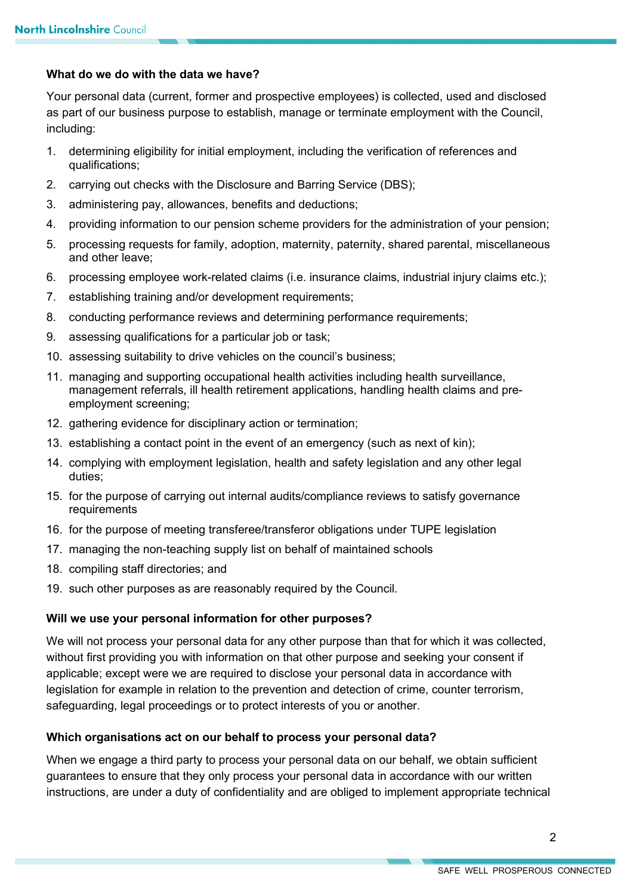## **What do we do with the data we have?**

Your personal data (current, former and prospective employees) is collected, used and disclosed as part of our business purpose to establish, manage or terminate employment with the Council, including:

- 1. determining eligibility for initial employment, including the verification of references and qualifications;
- 2. carrying out checks with the Disclosure and Barring Service (DBS);
- 3. administering pay, allowances, benefits and deductions;
- 4. providing information to our pension scheme providers for the administration of your pension;
- 5. processing requests for family, adoption, maternity, paternity, shared parental, miscellaneous and other leave;
- 6. processing employee work-related claims (i.e. insurance claims, industrial injury claims etc.);
- 7. establishing training and/or development requirements;
- 8. conducting performance reviews and determining performance requirements;
- 9. assessing qualifications for a particular job or task;
- 10. assessing suitability to drive vehicles on the council's business;
- 11. managing and supporting occupational health activities including health surveillance, management referrals, ill health retirement applications, handling health claims and preemployment screening;
- 12. gathering evidence for disciplinary action or termination;
- 13. establishing a contact point in the event of an emergency (such as next of kin);
- 14. complying with employment legislation, health and safety legislation and any other legal duties;
- 15. for the purpose of carrying out internal audits/compliance reviews to satisfy governance requirements
- 16. for the purpose of meeting transferee/transferor obligations under TUPE legislation
- 17. managing the non-teaching supply list on behalf of maintained schools
- 18. compiling staff directories; and
- 19. such other purposes as are reasonably required by the Council.

## **Will we use your personal information for other purposes?**

 We will not process your personal data for any other purpose than that for which it was collected, without first providing you with information on that other purpose and seeking your consent if applicable; except were we are required to disclose your personal data in accordance with legislation for example in relation to the prevention and detection of crime, counter terrorism, safeguarding, legal proceedings or to protect interests of you or another.

## **Which organisations act on our behalf to process your personal data?**

When we engage a third party to process your personal data on our behalf, we obtain sufficient guarantees to ensure that they only process your personal data in accordance with our written instructions, are under a duty of confidentiality and are obliged to implement appropriate technical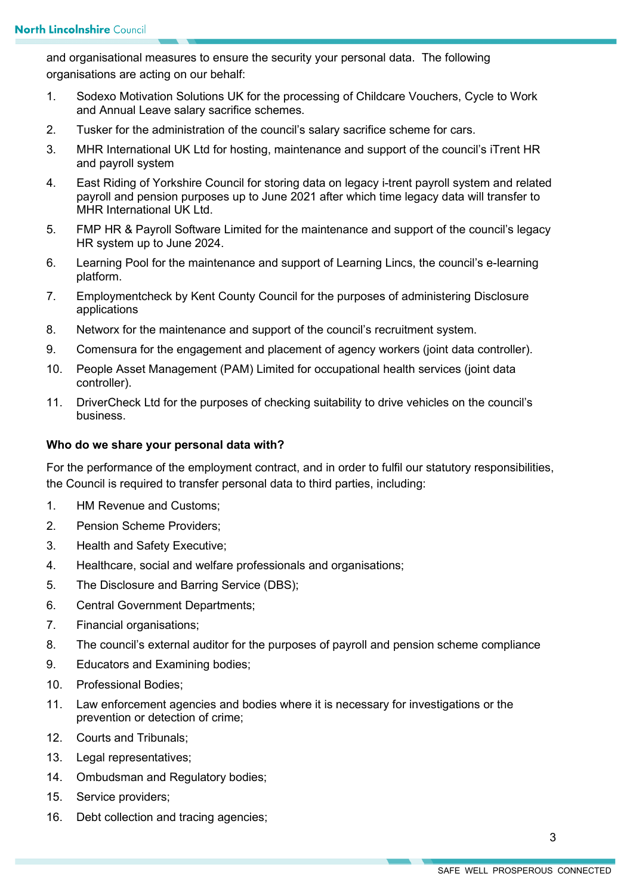and organisational measures to ensure the security your personal data. The following organisations are acting on our behalf:

- $1$ 1. Sodexo Motivation Solutions UK for the processing of Childcare Vouchers, Cycle to Work and Annual Leave salary sacrifice schemes.
- 2. Tusker for the administration of the council's salary sacrifice scheme for cars.
- 3. MHR International UK Ltd for hosting, maintenance and support of the council's iTrent HR and payroll system
- 4. East Riding of Yorkshire Council for storing data on legacy i-trent payroll system and related payroll and pension purposes up to June 2021 after which time legacy data will transfer to MHR International UK Ltd.
- 5. FMP HR & Payroll Software Limited for the maintenance and support of the council's legacy HR system up to June 2024.
- 6. Learning Pool for the maintenance and support of Learning Lincs, the council's e-learning platform.
- 7. Employmentcheck by Kent County Council for the purposes of administering Disclosure applications
- 8. Networx for the maintenance and support of the council's recruitment system.
- 9. Comensura for the engagement and placement of agency workers (joint data controller).
- $10<sub>1</sub>$ 10. People Asset Management (PAM) Limited for occupational health services (joint data controller).
- 11. DriverCheck Ltd for the purposes of checking suitability to drive vehicles on the council's business.

### **Who do we share your personal data with?**

For the performance of the employment contract, and in order to fulfil our statutory responsibilities, the Council is required to transfer personal data to third parties, including:

- 1. HM Revenue and Customs;
- 2. Pension Scheme Providers;
- 3. Health and Safety Executive;
- 4. Healthcare, social and welfare professionals and organisations;
- 5. The Disclosure and Barring Service (DBS);
- 6. Central Government Departments;
- 7. Financial organisations;
- 8. The council's external auditor for the purposes of payroll and pension scheme compliance
- 9. Educators and Examining bodies;
- 10. Professional Bodies;
- 11. Law enforcement agencies and bodies where it is necessary for investigations or the prevention or detection of crime;
- 12. Courts and Tribunals;
- 13. Legal representatives;
- 14. Ombudsman and Regulatory bodies;
- 15. Service providers;
- 16. Debt collection and tracing agencies;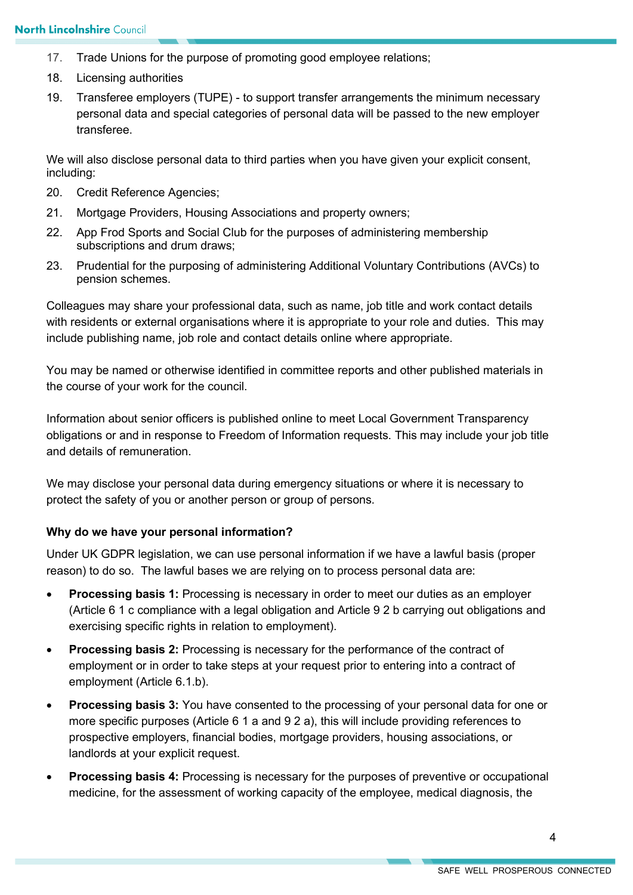- 17. Trade Unions for the purpose of promoting good employee relations;
- 18. Licensing authorities
- 19. Transferee employers (TUPE) to support transfer arrangements the minimum necessary personal data and special categories of personal data will be passed to the new employer transferee.

 We will also disclose personal data to third parties when you have given your explicit consent, including:

- 20. Credit Reference Agencies;
- 21. Mortgage Providers, Housing Associations and property owners;
- 22. App Frod Sports and Social Club for the purposes of administering membership subscriptions and drum draws;
- 23. Prudential for the purposing of administering Additional Voluntary Contributions (AVCs) to pension schemes.

 Colleagues may share your professional data, such as name, job title and work contact details with residents or external organisations where it is appropriate to your role and duties. This may include publishing name, job role and contact details online where appropriate.

You may be named or otherwise identified in committee reports and other published materials in the course of your work for the council.

Information about senior officers is published online to meet Local Government Transparency obligations or and in response to Freedom of Information requests. This may include your job title and details of remuneration.

We may disclose your personal data during emergency situations or where it is necessary to protect the safety of you or another person or group of persons.

#### **Why do we have your personal information?**

 Under UK GDPR legislation, we can use personal information if we have a lawful basis (proper reason) to do so. The lawful bases we are relying on to process personal data are:

- • **Processing basis 1:** Processing is necessary in order to meet our duties as an employer (Article 6 1 c compliance with a legal obligation and Article 9 2 b carrying out obligations and exercising specific rights in relation to employment).
- **Processing basis 2:** Processing is necessary for the performance of the contract of employment or in order to take steps at your request prior to entering into a contract of employment (Article 6.1.b).
- **Processing basis 3:** You have consented to the processing of your personal data for one or more specific purposes (Article 6 1 a and 9 2 a), this will include providing references to prospective employers, financial bodies, mortgage providers, housing associations, or landlords at your explicit request.
- **Processing basis 4:** Processing is necessary for the purposes of preventive or occupational medicine, for the assessment of working capacity of the employee, medical diagnosis, the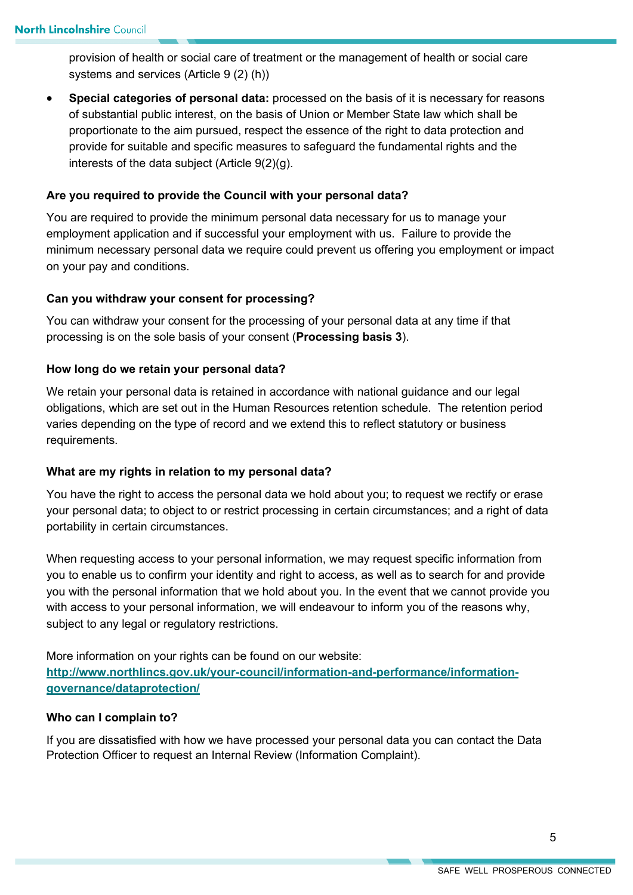provision of health or social care of treatment or the management of health or social care systems and services (Article 9 (2) (h))

 • **Special categories of personal data:** processed on the basis of it is necessary for reasons provide for suitable and specific measures to safeguard the fundamental rights and the of substantial public interest, on the basis of Union or Member State law which shall be proportionate to the aim pursued, respect the essence of the right to data protection and interests of the data subject (Article 9(2)(g).

### **Are you required to provide the Council with your personal data?**

 You are required to provide the minimum personal data necessary for us to manage your employment application and if successful your employment with us. Failure to provide the minimum necessary personal data we require could prevent us offering you employment or impact on your pay and conditions.

### **Can you withdraw your consent for processing?**

You can withdraw your consent for the processing of your personal data at any time if that processing is on the sole basis of your consent (**Processing basis 3**).

### **How long do we retain your personal data?**

 We retain your personal data is retained in accordance with national guidance and our legal obligations, which are set out in the Human Resources retention schedule. The retention period varies depending on the type of record and we extend this to reflect statutory or business requirements.

#### **What are my rights in relation to my personal data?**

You have the right to access the personal data we hold about you; to request we rectify or erase your personal data; to object to or restrict processing in certain circumstances; and a right of data portability in certain circumstances.

 with access to your personal information, we will endeavour to inform you of the reasons why, When requesting access to your personal information, we may request specific information from you to enable us to confirm your identity and right to access, as well as to search for and provide you with the personal information that we hold about you. In the event that we cannot provide you subject to any legal or regulatory restrictions.

More information on your rights can be found on our website: **http://www.northlincs.gov.uk/your-council/information-and-performance/informationgovernance/dataprotection/** 

### **Who can I complain to?**

If you are dissatisfied with how we have processed your personal data you can contact the Data Protection Officer to request an Internal Review (Information Complaint).